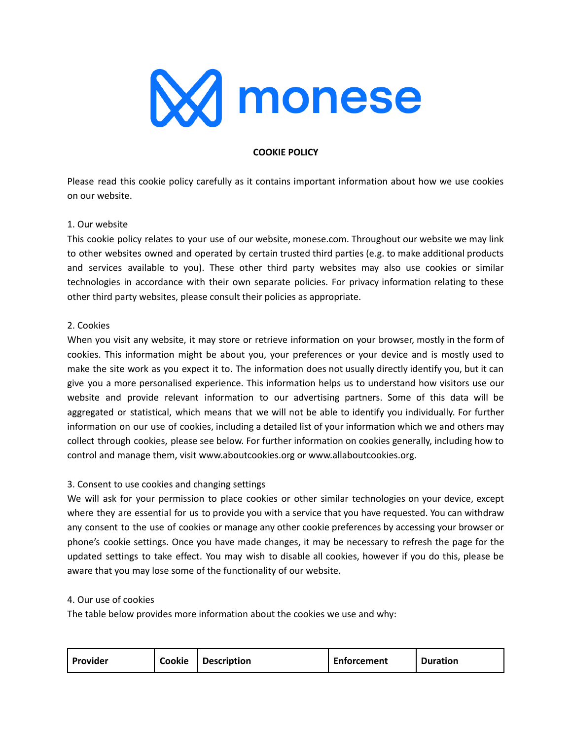

## **COOKIE POLICY**

Please read this cookie policy carefully as it contains important information about how we use cookies on our website.

### 1. Our website

This cookie policy relates to your use of our website, monese.com. Throughout our website we may link to other websites owned and operated by certain trusted third parties (e.g. to make additional products and services available to you). These other third party websites may also use cookies or similar technologies in accordance with their own separate policies. For privacy information relating to these other third party websites, please consult their policies as appropriate.

### 2. Cookies

When you visit any website, it may store or retrieve information on your browser, mostly in the form of cookies. This information might be about you, your preferences or your device and is mostly used to make the site work as you expect it to. The information does not usually directly identify you, but it can give you a more personalised experience. This information helps us to understand how visitors use our website and provide relevant information to our advertising partners. Some of this data will be aggregated or statistical, which means that we will not be able to identify you individually. For further information on our use of cookies, including a detailed list of your information which we and others may collect through cookies, please see below. For further information on cookies generally, including how to control and manage them, visit www.aboutcookies.org or www.allaboutcookies.org.

### 3. Consent to use cookies and changing settings

We will ask for your permission to place cookies or other similar technologies on your device, except where they are essential for us to provide you with a service that you have requested. You can withdraw any consent to the use of cookies or manage any other cookie preferences by accessing your browser or phone's cookie settings. Once you have made changes, it may be necessary to refresh the page for the updated settings to take effect. You may wish to disable all cookies, however if you do this, please be aware that you may lose some of the functionality of our website.

### 4. Our use of cookies

The table below provides more information about the cookies we use and why:

| Provider | Cookie | Description | <b>Enforcement</b> | <b>Duration</b> |
|----------|--------|-------------|--------------------|-----------------|
|          |        |             |                    |                 |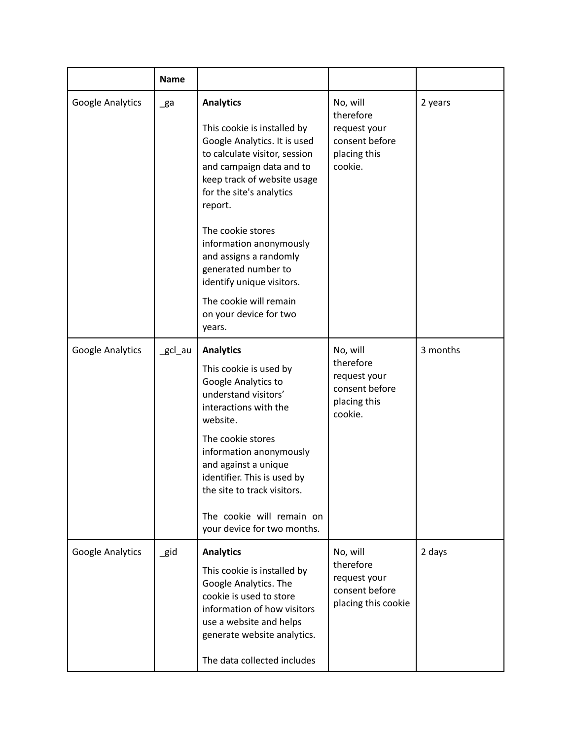|                  | <b>Name</b>    |                                                                                                                                                                                                                                                                                                                                                                                                                |                                                                                    |          |
|------------------|----------------|----------------------------------------------------------------------------------------------------------------------------------------------------------------------------------------------------------------------------------------------------------------------------------------------------------------------------------------------------------------------------------------------------------------|------------------------------------------------------------------------------------|----------|
| Google Analytics | $\mathsf{g}$ a | <b>Analytics</b><br>This cookie is installed by<br>Google Analytics. It is used<br>to calculate visitor, session<br>and campaign data and to<br>keep track of website usage<br>for the site's analytics<br>report.<br>The cookie stores<br>information anonymously<br>and assigns a randomly<br>generated number to<br>identify unique visitors.<br>The cookie will remain<br>on your device for two<br>years. | No, will<br>therefore<br>request your<br>consent before<br>placing this<br>cookie. | 2 years  |
| Google Analytics | _gcl_au        | <b>Analytics</b><br>This cookie is used by<br>Google Analytics to<br>understand visitors'<br>interactions with the<br>website.<br>The cookie stores<br>information anonymously<br>and against a unique<br>identifier. This is used by<br>the site to track visitors.<br>The cookie will remain on<br>your device for two months.                                                                               | No, will<br>therefore<br>request your<br>consent before<br>placing this<br>cookie. | 3 months |
| Google Analytics | $\_$ gid       | <b>Analytics</b><br>This cookie is installed by<br>Google Analytics. The<br>cookie is used to store<br>information of how visitors<br>use a website and helps<br>generate website analytics.<br>The data collected includes                                                                                                                                                                                    | No, will<br>therefore<br>request your<br>consent before<br>placing this cookie     | 2 days   |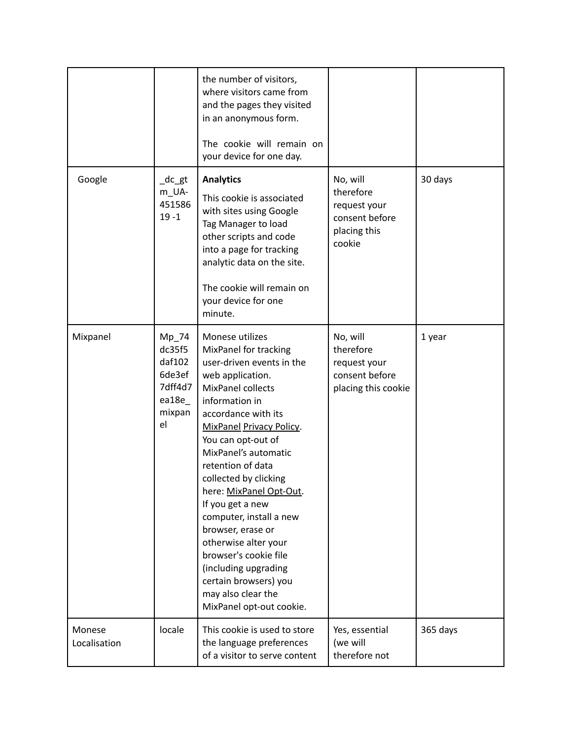|                        |                                                                                | the number of visitors,<br>where visitors came from<br>and the pages they visited<br>in an anonymous form.<br>The cookie will remain on<br>your device for one day.                                                                                                                                                                                                                                                                                                                                                                |                                                                                   |          |
|------------------------|--------------------------------------------------------------------------------|------------------------------------------------------------------------------------------------------------------------------------------------------------------------------------------------------------------------------------------------------------------------------------------------------------------------------------------------------------------------------------------------------------------------------------------------------------------------------------------------------------------------------------|-----------------------------------------------------------------------------------|----------|
| Google                 | $\_dc\_gt$<br>m_UA-<br>451586<br>$19 - 1$                                      | <b>Analytics</b><br>This cookie is associated<br>with sites using Google<br>Tag Manager to load<br>other scripts and code<br>into a page for tracking<br>analytic data on the site.<br>The cookie will remain on<br>your device for one<br>minute.                                                                                                                                                                                                                                                                                 | No, will<br>therefore<br>request your<br>consent before<br>placing this<br>cookie | 30 days  |
| Mixpanel               | $Mp_{2}$ 74<br>dc35f5<br>daf102<br>6de3ef<br>7dff4d7<br>ea18e_<br>mixpan<br>el | Monese utilizes<br>MixPanel for tracking<br>user-driven events in the<br>web application.<br>MixPanel collects<br>information in<br>accordance with its<br>MixPanel Privacy Policy.<br>You can opt-out of<br>MixPanel's automatic<br>retention of data<br>collected by clicking<br>here: MixPanel Opt-Out.<br>If you get a new<br>computer, install a new<br>browser, erase or<br>otherwise alter your<br>browser's cookie file<br>(including upgrading<br>certain browsers) you<br>may also clear the<br>MixPanel opt-out cookie. | No, will<br>therefore<br>request your<br>consent before<br>placing this cookie    | 1 year   |
| Monese<br>Localisation | locale                                                                         | This cookie is used to store<br>the language preferences<br>of a visitor to serve content                                                                                                                                                                                                                                                                                                                                                                                                                                          | Yes, essential<br>(we will<br>therefore not                                       | 365 days |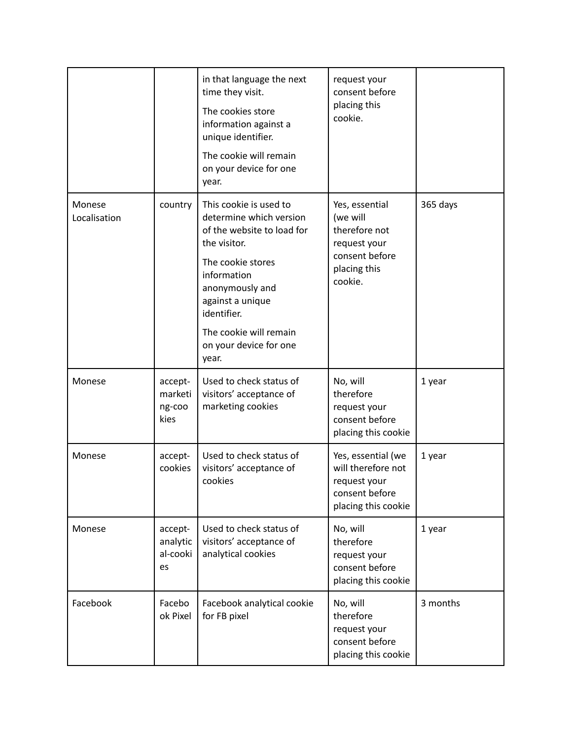|                        |                                       | in that language the next<br>time they visit.<br>The cookies store<br>information against a<br>unique identifier.<br>The cookie will remain<br>on your device for one<br>year.                                                                         | request your<br>consent before<br>placing this<br>cookie.                                                |          |
|------------------------|---------------------------------------|--------------------------------------------------------------------------------------------------------------------------------------------------------------------------------------------------------------------------------------------------------|----------------------------------------------------------------------------------------------------------|----------|
| Monese<br>Localisation | country                               | This cookie is used to<br>determine which version<br>of the website to load for<br>the visitor.<br>The cookie stores<br>information<br>anonymously and<br>against a unique<br>identifier.<br>The cookie will remain<br>on your device for one<br>year. | Yes, essential<br>(we will<br>therefore not<br>request your<br>consent before<br>placing this<br>cookie. | 365 days |
| Monese                 | accept-<br>marketi<br>ng-coo<br>kies  | Used to check status of<br>visitors' acceptance of<br>marketing cookies                                                                                                                                                                                | No, will<br>therefore<br>request your<br>consent before<br>placing this cookie                           | 1 year   |
| Monese                 | accept-<br>cookies                    | Used to check status of<br>visitors' acceptance of<br>cookies                                                                                                                                                                                          | Yes, essential (we<br>will therefore not<br>request your<br>consent before<br>placing this cookie        | 1 year   |
| Monese                 | accept-<br>analytic<br>al-cooki<br>es | Used to check status of<br>visitors' acceptance of<br>analytical cookies                                                                                                                                                                               | No, will<br>therefore<br>request your<br>consent before<br>placing this cookie                           | 1 year   |
| Facebook               | Facebo<br>ok Pixel                    | Facebook analytical cookie<br>for FB pixel                                                                                                                                                                                                             | No, will<br>therefore<br>request your<br>consent before<br>placing this cookie                           | 3 months |